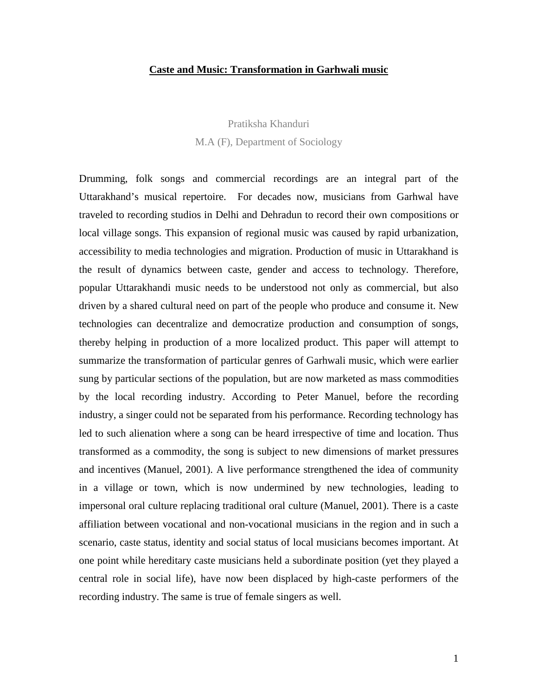### **Caste and Music: Transformation in Garhwali music**

Pratiksha Khanduri M.A (F), Department of Sociology

Drumming, folk songs and commercial recordings are an integral part of the Uttarakhand's musical repertoire. For decades now, musicians from Garhwal have traveled to recording studios in Delhi and Dehradun to record their own compositions or local village songs. This expansion of regional music was caused by rapid urbanization, accessibility to media technologies and migration. Production of music in Uttarakhand is the result of dynamics between caste, gender and access to technology. Therefore, popular Uttarakhandi music needs to be understood not only as commercial, but also driven by a shared cultural need on part of the people who produce and consume it. New technologies can decentralize and democratize production and consumption of songs, thereby helping in production of a more localized product. This paper will attempt to summarize the transformation of particular genres of Garhwali music, which were earlier sung by particular sections of the population, but are now marketed as mass commodities by the local recording industry. According to Peter Manuel, before the recording industry, a singer could not be separated from his performance. Recording technology has led to such alienation where a song can be heard irrespective of time and location. Thus transformed as a commodity, the song is subject to new dimensions of market pressures and incentives (Manuel, 2001). A live performance strengthened the idea of community in a village or town, which is now undermined by new technologies, leading to impersonal oral culture replacing traditional oral culture (Manuel, 2001). There is a caste affiliation between vocational and non-vocational musicians in the region and in such a scenario, caste status, identity and social status of local musicians becomes important. At one point while hereditary caste musicians held a subordinate position (yet they played a central role in social life), have now been displaced by high-caste performers of the recording industry. The same is true of female singers as well.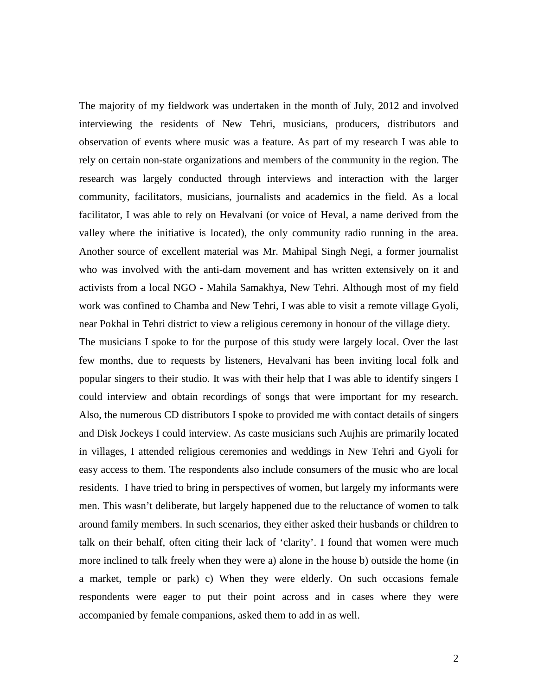The majority of my fieldwork was undertaken in the month of July, 2012 and involved interviewing the residents of New Tehri, musicians, producers, distributors and observation of events where music was a feature. As part of my research I was able to rely on certain non-state organizations and members of the community in the region. The research was largely conducted through interviews and interaction with the larger community, facilitators, musicians, journalists and academics in the field. As a local facilitator, I was able to rely on Hevalvani (or voice of Heval, a name derived from the valley where the initiative is located), the only community radio running in the area. Another source of excellent material was Mr. Mahipal Singh Negi, a former journalist who was involved with the anti-dam movement and has written extensively on it and activists from a local NGO - Mahila Samakhya, New Tehri. Although most of my field work was confined to Chamba and New Tehri, I was able to visit a remote village Gyoli, near Pokhal in Tehri district to view a religious ceremony in honour of the village diety.

The musicians I spoke to for the purpose of this study were largely local. Over the last few months, due to requests by listeners, Hevalvani has been inviting local folk and popular singers to their studio. It was with their help that I was able to identify singers I could interview and obtain recordings of songs that were important for my research. Also, the numerous CD distributors I spoke to provided me with contact details of singers and Disk Jockeys I could interview. As caste musicians such Aujhis are primarily located in villages, I attended religious ceremonies and weddings in New Tehri and Gyoli for easy access to them. The respondents also include consumers of the music who are local residents. I have tried to bring in perspectives of women, but largely my informants were men. This wasn't deliberate, but largely happened due to the reluctance of women to talk around family members. In such scenarios, they either asked their husbands or children to talk on their behalf, often citing their lack of 'clarity'. I found that women were much more inclined to talk freely when they were a) alone in the house b) outside the home (in a market, temple or park) c) When they were elderly. On such occasions female respondents were eager to put their point across and in cases where they were accompanied by female companions, asked them to add in as well.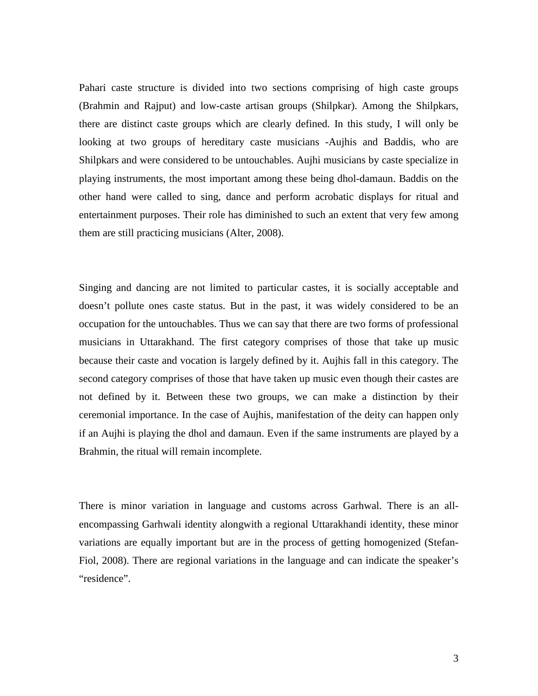Pahari caste structure is divided into two sections comprising of high caste groups (Brahmin and Rajput) and low-caste artisan groups (Shilpkar). Among the Shilpkars, there are distinct caste groups which are clearly defined. In this study, I will only be looking at two groups of hereditary caste musicians -Aujhis and Baddis, who are Shilpkars and were considered to be untouchables. Aujhi musicians by caste specialize in playing instruments, the most important among these being dhol-damaun. Baddis on the other hand were called to sing, dance and perform acrobatic displays for ritual and entertainment purposes. Their role has diminished to such an extent that very few among them are still practicing musicians (Alter, 2008).

Singing and dancing are not limited to particular castes, it is socially acceptable and doesn't pollute ones caste status. But in the past, it was widely considered to be an occupation for the untouchables. Thus we can say that there are two forms of professional musicians in Uttarakhand. The first category comprises of those that take up music because their caste and vocation is largely defined by it. Aujhis fall in this category. The second category comprises of those that have taken up music even though their castes are not defined by it. Between these two groups, we can make a distinction by their ceremonial importance. In the case of Aujhis, manifestation of the deity can happen only if an Aujhi is playing the dhol and damaun. Even if the same instruments are played by a Brahmin, the ritual will remain incomplete.

There is minor variation in language and customs across Garhwal. There is an allencompassing Garhwali identity alongwith a regional Uttarakhandi identity, these minor variations are equally important but are in the process of getting homogenized (Stefan-Fiol, 2008). There are regional variations in the language and can indicate the speaker's "residence".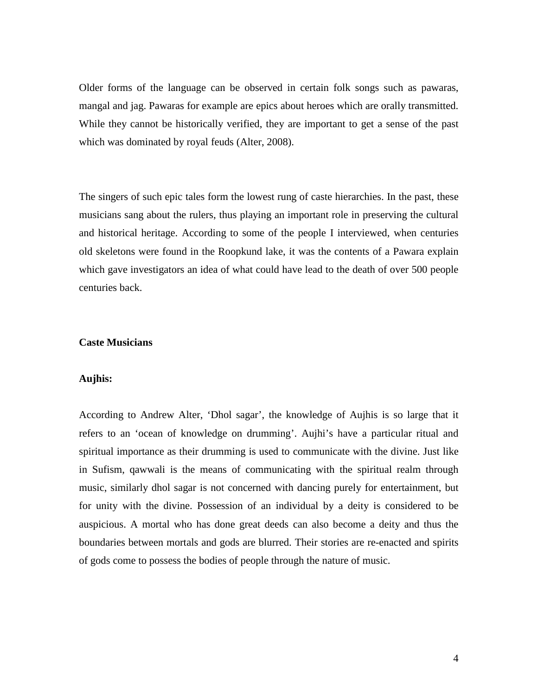Older forms of the language can be observed in certain folk songs such as pawaras, mangal and jag. Pawaras for example are epics about heroes which are orally transmitted. While they cannot be historically verified, they are important to get a sense of the past which was dominated by royal feuds (Alter, 2008).

The singers of such epic tales form the lowest rung of caste hierarchies. In the past, these musicians sang about the rulers, thus playing an important role in preserving the cultural and historical heritage. According to some of the people I interviewed, when centuries old skeletons were found in the Roopkund lake, it was the contents of a Pawara explain which gave investigators an idea of what could have lead to the death of over 500 people centuries back.

### **Caste Musicians**

### **Aujhis:**

According to Andrew Alter, 'Dhol sagar', the knowledge of Aujhis is so large that it refers to an 'ocean of knowledge on drumming'. Aujhi's have a particular ritual and spiritual importance as their drumming is used to communicate with the divine. Just like in Sufism, qawwali is the means of communicating with the spiritual realm through music, similarly dhol sagar is not concerned with dancing purely for entertainment, but for unity with the divine. Possession of an individual by a deity is considered to be auspicious. A mortal who has done great deeds can also become a deity and thus the boundaries between mortals and gods are blurred. Their stories are re-enacted and spirits of gods come to possess the bodies of people through the nature of music.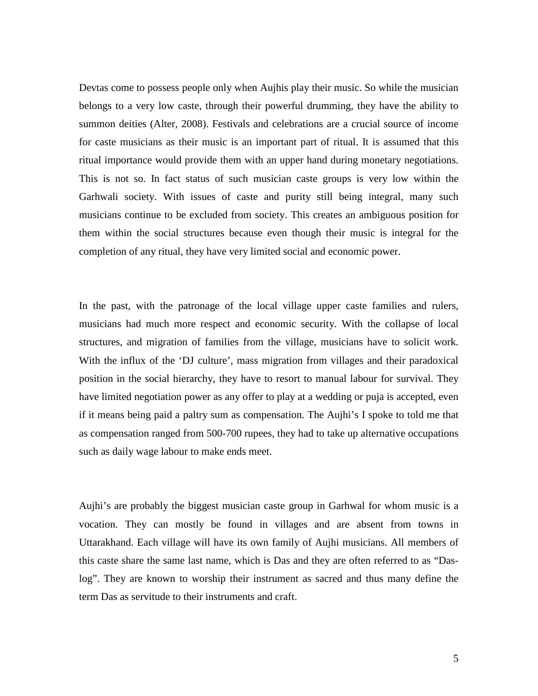Devtas come to possess people only when Aujhis play their music. So while the musician belongs to a very low caste, through their powerful drumming, they have the ability to summon deities (Alter, 2008). Festivals and celebrations are a crucial source of income for caste musicians as their music is an important part of ritual. It is assumed that this ritual importance would provide them with an upper hand during monetary negotiations. This is not so. In fact status of such musician caste groups is very low within the Garhwali society. With issues of caste and purity still being integral, many such musicians continue to be excluded from society. This creates an ambiguous position for them within the social structures because even though their music is integral for the completion of any ritual, they have very limited social and economic power.

In the past, with the patronage of the local village upper caste families and rulers, musicians had much more respect and economic security. With the collapse of local structures, and migration of families from the village, musicians have to solicit work. With the influx of the 'DJ culture', mass migration from villages and their paradoxical position in the social hierarchy, they have to resort to manual labour for survival. They have limited negotiation power as any offer to play at a wedding or puja is accepted, even if it means being paid a paltry sum as compensation. The Aujhi's I spoke to told me that as compensation ranged from 500-700 rupees, they had to take up alternative occupations such as daily wage labour to make ends meet.

Aujhi's are probably the biggest musician caste group in Garhwal for whom music is a vocation. They can mostly be found in villages and are absent from towns in Uttarakhand. Each village will have its own family of Aujhi musicians. All members of this caste share the same last name, which is Das and they are often referred to as "Daslog". They are known to worship their instrument as sacred and thus many define the term Das as servitude to their instruments and craft.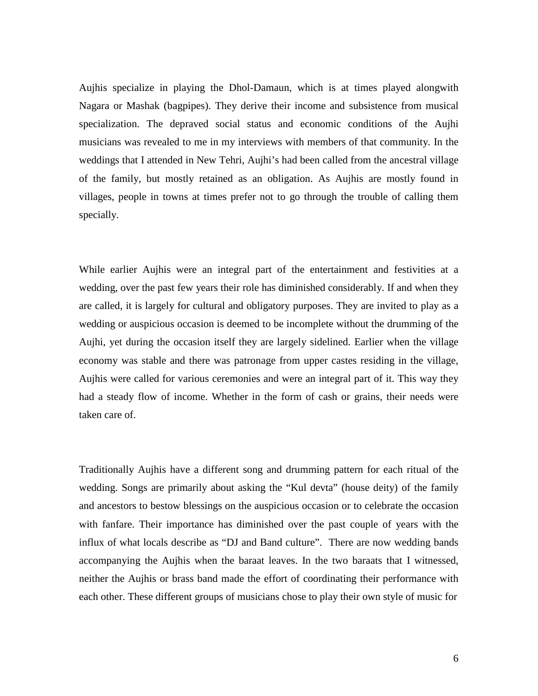Aujhis specialize in playing the Dhol-Damaun, which is at times played alongwith Nagara or Mashak (bagpipes). They derive their income and subsistence from musical specialization. The depraved social status and economic conditions of the Aujhi musicians was revealed to me in my interviews with members of that community. In the weddings that I attended in New Tehri, Aujhi's had been called from the ancestral village of the family, but mostly retained as an obligation. As Aujhis are mostly found in villages, people in towns at times prefer not to go through the trouble of calling them specially.

While earlier Aujhis were an integral part of the entertainment and festivities at a wedding, over the past few years their role has diminished considerably. If and when they are called, it is largely for cultural and obligatory purposes. They are invited to play as a wedding or auspicious occasion is deemed to be incomplete without the drumming of the Aujhi, yet during the occasion itself they are largely sidelined. Earlier when the village economy was stable and there was patronage from upper castes residing in the village, Aujhis were called for various ceremonies and were an integral part of it. This way they had a steady flow of income. Whether in the form of cash or grains, their needs were taken care of.

Traditionally Aujhis have a different song and drumming pattern for each ritual of the wedding. Songs are primarily about asking the "Kul devta" (house deity) of the family and ancestors to bestow blessings on the auspicious occasion or to celebrate the occasion with fanfare. Their importance has diminished over the past couple of years with the influx of what locals describe as "DJ and Band culture". There are now wedding bands accompanying the Aujhis when the baraat leaves. In the two baraats that I witnessed, neither the Aujhis or brass band made the effort of coordinating their performance with each other. These different groups of musicians chose to play their own style of music for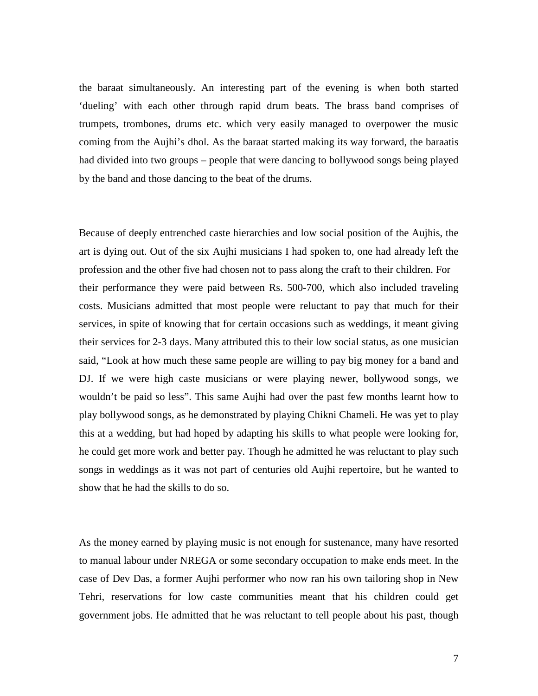the baraat simultaneously. An interesting part of the evening is when both started 'dueling' with each other through rapid drum beats. The brass band comprises of trumpets, trombones, drums etc. which very easily managed to overpower the music coming from the Aujhi's dhol. As the baraat started making its way forward, the baraatis had divided into two groups – people that were dancing to bollywood songs being played by the band and those dancing to the beat of the drums.

Because of deeply entrenched caste hierarchies and low social position of the Aujhis, the art is dying out. Out of the six Aujhi musicians I had spoken to, one had already left the profession and the other five had chosen not to pass along the craft to their children. For their performance they were paid between Rs. 500-700, which also included traveling costs. Musicians admitted that most people were reluctant to pay that much for their services, in spite of knowing that for certain occasions such as weddings, it meant giving their services for 2-3 days. Many attributed this to their low social status, as one musician said, "Look at how much these same people are willing to pay big money for a band and DJ. If we were high caste musicians or were playing newer, bollywood songs, we wouldn't be paid so less". This same Aujhi had over the past few months learnt how to play bollywood songs, as he demonstrated by playing Chikni Chameli. He was yet to play this at a wedding, but had hoped by adapting his skills to what people were looking for, he could get more work and better pay. Though he admitted he was reluctant to play such songs in weddings as it was not part of centuries old Aujhi repertoire, but he wanted to show that he had the skills to do so.

As the money earned by playing music is not enough for sustenance, many have resorted to manual labour under NREGA or some secondary occupation to make ends meet. In the case of Dev Das, a former Aujhi performer who now ran his own tailoring shop in New Tehri, reservations for low caste communities meant that his children could get government jobs. He admitted that he was reluctant to tell people about his past, though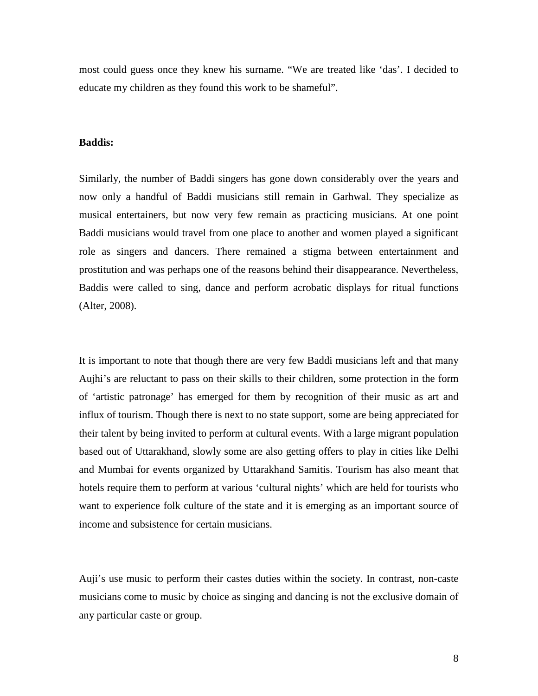most could guess once they knew his surname. "We are treated like 'das'. I decided to educate my children as they found this work to be shameful".

### **Baddis:**

Similarly, the number of Baddi singers has gone down considerably over the years and now only a handful of Baddi musicians still remain in Garhwal. They specialize as musical entertainers, but now very few remain as practicing musicians. At one point Baddi musicians would travel from one place to another and women played a significant role as singers and dancers. There remained a stigma between entertainment and prostitution and was perhaps one of the reasons behind their disappearance. Nevertheless, Baddis were called to sing, dance and perform acrobatic displays for ritual functions (Alter, 2008).

It is important to note that though there are very few Baddi musicians left and that many Aujhi's are reluctant to pass on their skills to their children, some protection in the form of 'artistic patronage' has emerged for them by recognition of their music as art and influx of tourism. Though there is next to no state support, some are being appreciated for their talent by being invited to perform at cultural events. With a large migrant population based out of Uttarakhand, slowly some are also getting offers to play in cities like Delhi and Mumbai for events organized by Uttarakhand Samitis. Tourism has also meant that hotels require them to perform at various 'cultural nights' which are held for tourists who want to experience folk culture of the state and it is emerging as an important source of income and subsistence for certain musicians.

Auji's use music to perform their castes duties within the society. In contrast, non-caste musicians come to music by choice as singing and dancing is not the exclusive domain of any particular caste or group.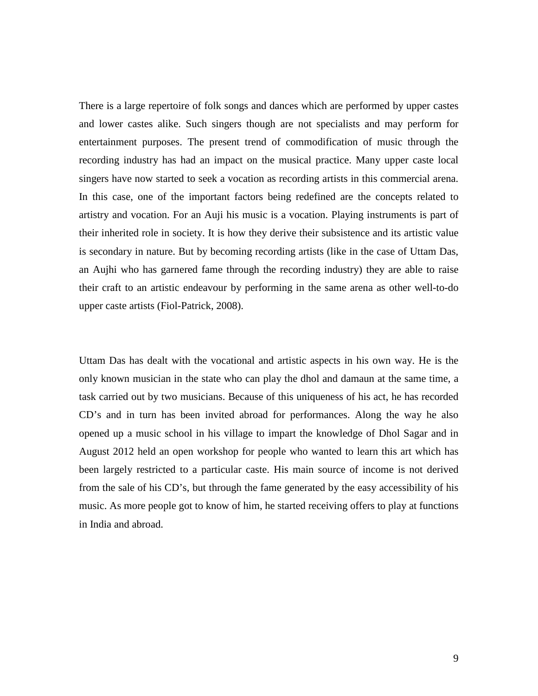There is a large repertoire of folk songs and dances which are performed by upper castes and lower castes alike. Such singers though are not specialists and may perform for entertainment purposes. The present trend of commodification of music through the recording industry has had an impact on the musical practice. Many upper caste local singers have now started to seek a vocation as recording artists in this commercial arena. In this case, one of the important factors being redefined are the concepts related to artistry and vocation. For an Auji his music is a vocation. Playing instruments is part of their inherited role in society. It is how they derive their subsistence and its artistic value is secondary in nature. But by becoming recording artists (like in the case of Uttam Das, an Aujhi who has garnered fame through the recording industry) they are able to raise their craft to an artistic endeavour by performing in the same arena as other well-to-do upper caste artists (Fiol-Patrick, 2008).

Uttam Das has dealt with the vocational and artistic aspects in his own way. He is the only known musician in the state who can play the dhol and damaun at the same time, a task carried out by two musicians. Because of this uniqueness of his act, he has recorded CD's and in turn has been invited abroad for performances. Along the way he also opened up a music school in his village to impart the knowledge of Dhol Sagar and in August 2012 held an open workshop for people who wanted to learn this art which has been largely restricted to a particular caste. His main source of income is not derived from the sale of his CD's, but through the fame generated by the easy accessibility of his music. As more people got to know of him, he started receiving offers to play at functions in India and abroad.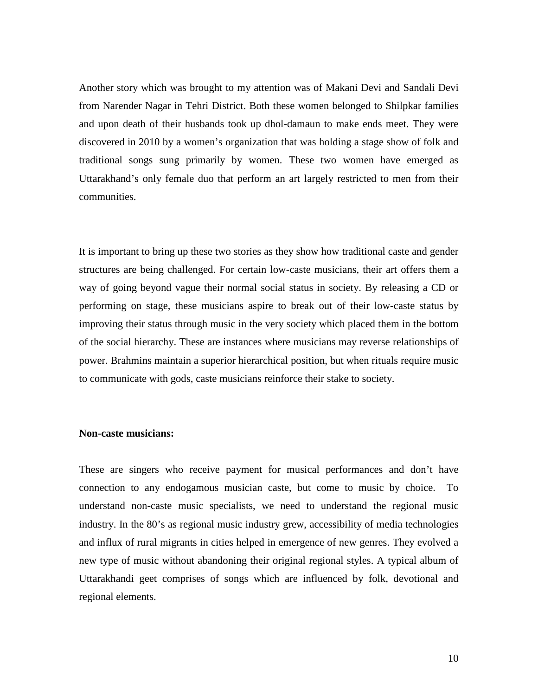Another story which was brought to my attention was of Makani Devi and Sandali Devi from Narender Nagar in Tehri District. Both these women belonged to Shilpkar families and upon death of their husbands took up dhol-damaun to make ends meet. They were discovered in 2010 by a women's organization that was holding a stage show of folk and traditional songs sung primarily by women. These two women have emerged as Uttarakhand's only female duo that perform an art largely restricted to men from their communities.

It is important to bring up these two stories as they show how traditional caste and gender structures are being challenged. For certain low-caste musicians, their art offers them a way of going beyond vague their normal social status in society. By releasing a CD or performing on stage, these musicians aspire to break out of their low-caste status by improving their status through music in the very society which placed them in the bottom of the social hierarchy. These are instances where musicians may reverse relationships of power. Brahmins maintain a superior hierarchical position, but when rituals require music to communicate with gods, caste musicians reinforce their stake to society.

# **Non-caste musicians:**

These are singers who receive payment for musical performances and don't have connection to any endogamous musician caste, but come to music by choice. To understand non-caste music specialists, we need to understand the regional music industry. In the 80's as regional music industry grew, accessibility of media technologies and influx of rural migrants in cities helped in emergence of new genres. They evolved a new type of music without abandoning their original regional styles. A typical album of Uttarakhandi geet comprises of songs which are influenced by folk, devotional and regional elements.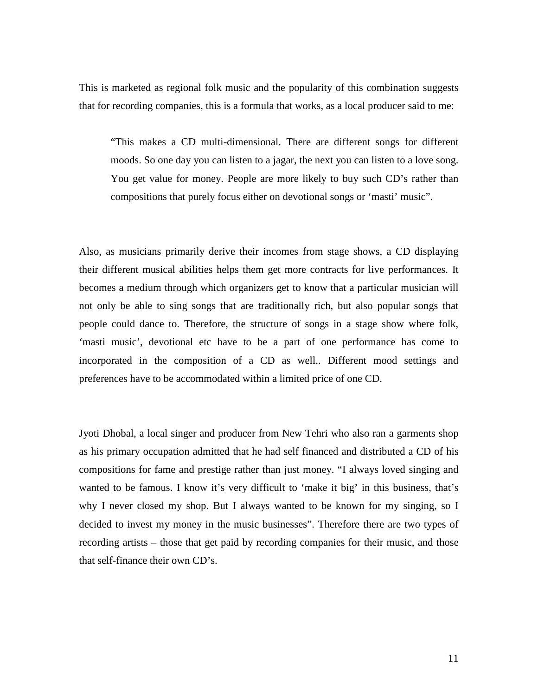This is marketed as regional folk music and the popularity of this combination suggests that for recording companies, this is a formula that works, as a local producer said to me:

"This makes a CD multi-dimensional. There are different songs for different moods. So one day you can listen to a jagar, the next you can listen to a love song. You get value for money. People are more likely to buy such CD's rather than compositions that purely focus either on devotional songs or 'masti' music".

Also, as musicians primarily derive their incomes from stage shows, a CD displaying their different musical abilities helps them get more contracts for live performances. It becomes a medium through which organizers get to know that a particular musician will not only be able to sing songs that are traditionally rich, but also popular songs that people could dance to. Therefore, the structure of songs in a stage show where folk, 'masti music', devotional etc have to be a part of one performance has come to incorporated in the composition of a CD as well.. Different mood settings and preferences have to be accommodated within a limited price of one CD.

Jyoti Dhobal, a local singer and producer from New Tehri who also ran a garments shop as his primary occupation admitted that he had self financed and distributed a CD of his compositions for fame and prestige rather than just money. "I always loved singing and wanted to be famous. I know it's very difficult to 'make it big' in this business, that's why I never closed my shop. But I always wanted to be known for my singing, so I decided to invest my money in the music businesses". Therefore there are two types of recording artists – those that get paid by recording companies for their music, and those that self-finance their own CD's.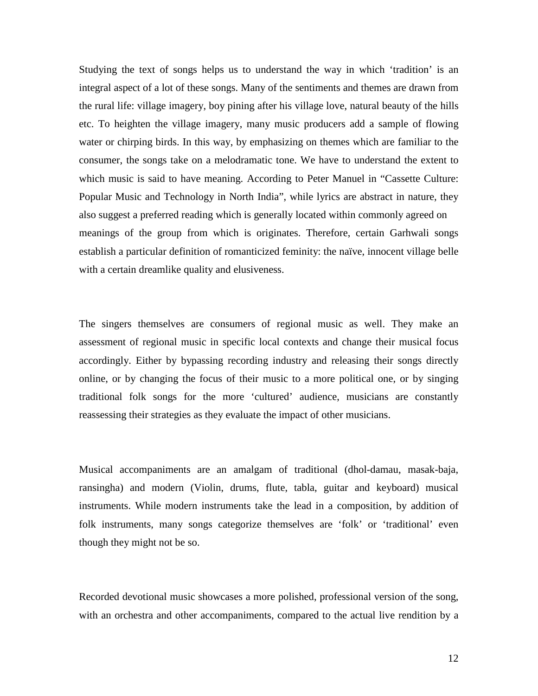Studying the text of songs helps us to understand the way in which 'tradition' is an integral aspect of a lot of these songs. Many of the sentiments and themes are drawn from the rural life: village imagery, boy pining after his village love, natural beauty of the hills etc. To heighten the village imagery, many music producers add a sample of flowing water or chirping birds. In this way, by emphasizing on themes which are familiar to the consumer, the songs take on a melodramatic tone. We have to understand the extent to which music is said to have meaning. According to Peter Manuel in "Cassette Culture: Popular Music and Technology in North India", while lyrics are abstract in nature, they also suggest a preferred reading which is generally located within commonly agreed on meanings of the group from which is originates. Therefore, certain Garhwali songs establish a particular definition of romanticized feminity: the naïve, innocent village belle with a certain dreamlike quality and elusiveness.

The singers themselves are consumers of regional music as well. They make an assessment of regional music in specific local contexts and change their musical focus accordingly. Either by bypassing recording industry and releasing their songs directly online, or by changing the focus of their music to a more political one, or by singing traditional folk songs for the more 'cultured' audience, musicians are constantly reassessing their strategies as they evaluate the impact of other musicians.

Musical accompaniments are an amalgam of traditional (dhol-damau, masak-baja, ransingha) and modern (Violin, drums, flute, tabla, guitar and keyboard) musical instruments. While modern instruments take the lead in a composition, by addition of folk instruments, many songs categorize themselves are 'folk' or 'traditional' even though they might not be so.

Recorded devotional music showcases a more polished, professional version of the song, with an orchestra and other accompaniments, compared to the actual live rendition by a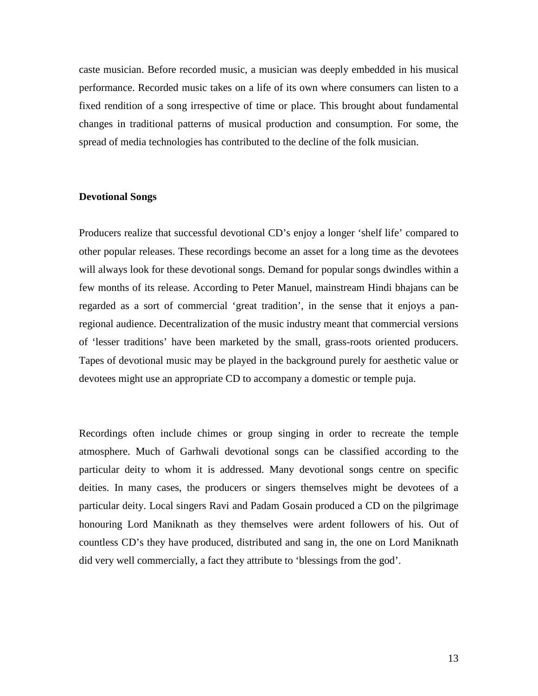caste musician. Before recorded music, a musician was deeply embedded in his musical performance. Recorded music takes on a life of its own where consumers can listen to a fixed rendition of a song irrespective of time or place. This brought about fundamental changes in traditional patterns of musical production and consumption. For some, the spread of media technologies has contributed to the decline of the folk musician.

### **Devotional Songs**

Producers realize that successful devotional CD's enjoy a longer 'shelf life' compared to other popular releases. These recordings become an asset for a long time as the devotees will always look for these devotional songs. Demand for popular songs dwindles within a few months of its release. According to Peter Manuel, mainstream Hindi bhajans can be regarded as a sort of commercial 'great tradition', in the sense that it enjoys a panregional audience. Decentralization of the music industry meant that commercial versions of 'lesser traditions' have been marketed by the small, grass-roots oriented producers. Tapes of devotional music may be played in the background purely for aesthetic value or devotees might use an appropriate CD to accompany a domestic or temple puja.

Recordings often include chimes or group singing in order to recreate the temple atmosphere. Much of Garhwali devotional songs can be classified according to the particular deity to whom it is addressed. Many devotional songs centre on specific deities. In many cases, the producers or singers themselves might be devotees of a particular deity. Local singers Ravi and Padam Gosain produced a CD on the pilgrimage honouring Lord Maniknath as they themselves were ardent followers of his. Out of countless CD's they have produced, distributed and sang in, the one on Lord Maniknath did very well commercially, a fact they attribute to 'blessings from the god'.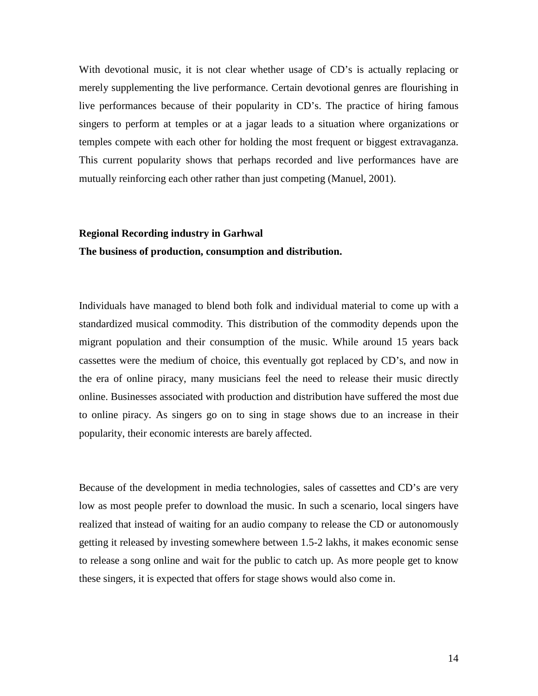With devotional music, it is not clear whether usage of CD's is actually replacing or merely supplementing the live performance. Certain devotional genres are flourishing in live performances because of their popularity in CD's. The practice of hiring famous singers to perform at temples or at a jagar leads to a situation where organizations or temples compete with each other for holding the most frequent or biggest extravaganza. This current popularity shows that perhaps recorded and live performances have are mutually reinforcing each other rather than just competing (Manuel, 2001).

# **Regional Recording industry in Garhwal The business of production, consumption and distribution.**

Individuals have managed to blend both folk and individual material to come up with a standardized musical commodity. This distribution of the commodity depends upon the migrant population and their consumption of the music. While around 15 years back cassettes were the medium of choice, this eventually got replaced by CD's, and now in the era of online piracy, many musicians feel the need to release their music directly online. Businesses associated with production and distribution have suffered the most due to online piracy. As singers go on to sing in stage shows due to an increase in their popularity, their economic interests are barely affected.

Because of the development in media technologies, sales of cassettes and CD's are very low as most people prefer to download the music. In such a scenario, local singers have realized that instead of waiting for an audio company to release the CD or autonomously getting it released by investing somewhere between 1.5-2 lakhs, it makes economic sense to release a song online and wait for the public to catch up. As more people get to know these singers, it is expected that offers for stage shows would also come in.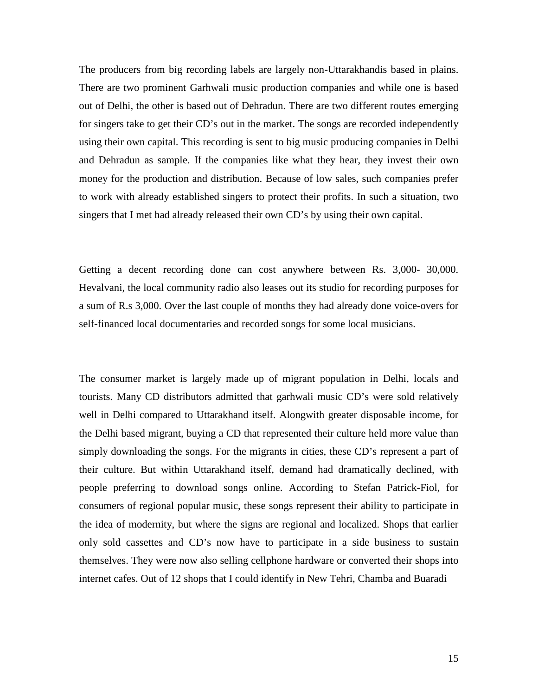The producers from big recording labels are largely non-Uttarakhandis based in plains. There are two prominent Garhwali music production companies and while one is based out of Delhi, the other is based out of Dehradun. There are two different routes emerging for singers take to get their CD's out in the market. The songs are recorded independently using their own capital. This recording is sent to big music producing companies in Delhi and Dehradun as sample. If the companies like what they hear, they invest their own money for the production and distribution. Because of low sales, such companies prefer to work with already established singers to protect their profits. In such a situation, two singers that I met had already released their own CD's by using their own capital.

Getting a decent recording done can cost anywhere between Rs. 3,000- 30,000. Hevalvani, the local community radio also leases out its studio for recording purposes for a sum of R.s 3,000. Over the last couple of months they had already done voice-overs for self-financed local documentaries and recorded songs for some local musicians.

The consumer market is largely made up of migrant population in Delhi, locals and tourists. Many CD distributors admitted that garhwali music CD's were sold relatively well in Delhi compared to Uttarakhand itself. Alongwith greater disposable income, for the Delhi based migrant, buying a CD that represented their culture held more value than simply downloading the songs. For the migrants in cities, these CD's represent a part of their culture. But within Uttarakhand itself, demand had dramatically declined, with people preferring to download songs online. According to Stefan Patrick-Fiol, for consumers of regional popular music, these songs represent their ability to participate in the idea of modernity, but where the signs are regional and localized. Shops that earlier only sold cassettes and CD's now have to participate in a side business to sustain themselves. They were now also selling cellphone hardware or converted their shops into internet cafes. Out of 12 shops that I could identify in New Tehri, Chamba and Buaradi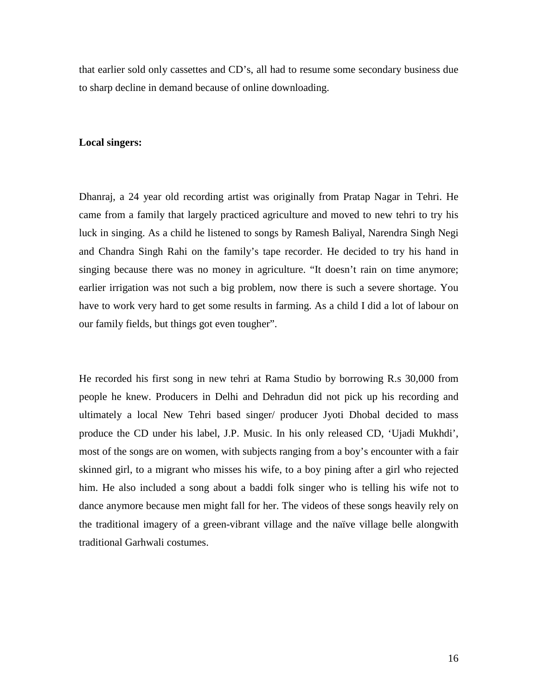that earlier sold only cassettes and CD's, all had to resume some secondary business due to sharp decline in demand because of online downloading.

# **Local singers:**

Dhanraj, a 24 year old recording artist was originally from Pratap Nagar in Tehri. He came from a family that largely practiced agriculture and moved to new tehri to try his luck in singing. As a child he listened to songs by Ramesh Baliyal, Narendra Singh Negi and Chandra Singh Rahi on the family's tape recorder. He decided to try his hand in singing because there was no money in agriculture. "It doesn't rain on time anymore; earlier irrigation was not such a big problem, now there is such a severe shortage. You have to work very hard to get some results in farming. As a child I did a lot of labour on our family fields, but things got even tougher".

He recorded his first song in new tehri at Rama Studio by borrowing R.s 30,000 from people he knew. Producers in Delhi and Dehradun did not pick up his recording and ultimately a local New Tehri based singer/ producer Jyoti Dhobal decided to mass produce the CD under his label, J.P. Music. In his only released CD, 'Ujadi Mukhdi', most of the songs are on women, with subjects ranging from a boy's encounter with a fair skinned girl, to a migrant who misses his wife, to a boy pining after a girl who rejected him. He also included a song about a baddi folk singer who is telling his wife not to dance anymore because men might fall for her. The videos of these songs heavily rely on the traditional imagery of a green-vibrant village and the naïve village belle alongwith traditional Garhwali costumes.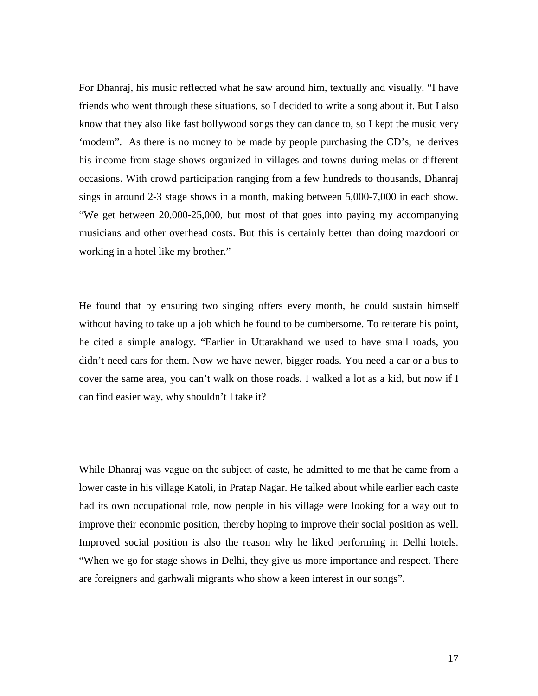For Dhanraj, his music reflected what he saw around him, textually and visually. "I have friends who went through these situations, so I decided to write a song about it. But I also know that they also like fast bollywood songs they can dance to, so I kept the music very 'modern". As there is no money to be made by people purchasing the CD's, he derives his income from stage shows organized in villages and towns during melas or different occasions. With crowd participation ranging from a few hundreds to thousands, Dhanraj sings in around 2-3 stage shows in a month, making between 5,000-7,000 in each show. "We get between 20,000-25,000, but most of that goes into paying my accompanying musicians and other overhead costs. But this is certainly better than doing mazdoori or working in a hotel like my brother."

He found that by ensuring two singing offers every month, he could sustain himself without having to take up a job which he found to be cumbersome. To reiterate his point, he cited a simple analogy. "Earlier in Uttarakhand we used to have small roads, you didn't need cars for them. Now we have newer, bigger roads. You need a car or a bus to cover the same area, you can't walk on those roads. I walked a lot as a kid, but now if I can find easier way, why shouldn't I take it?

While Dhanraj was vague on the subject of caste, he admitted to me that he came from a lower caste in his village Katoli, in Pratap Nagar. He talked about while earlier each caste had its own occupational role, now people in his village were looking for a way out to improve their economic position, thereby hoping to improve their social position as well. Improved social position is also the reason why he liked performing in Delhi hotels. "When we go for stage shows in Delhi, they give us more importance and respect. There are foreigners and garhwali migrants who show a keen interest in our songs".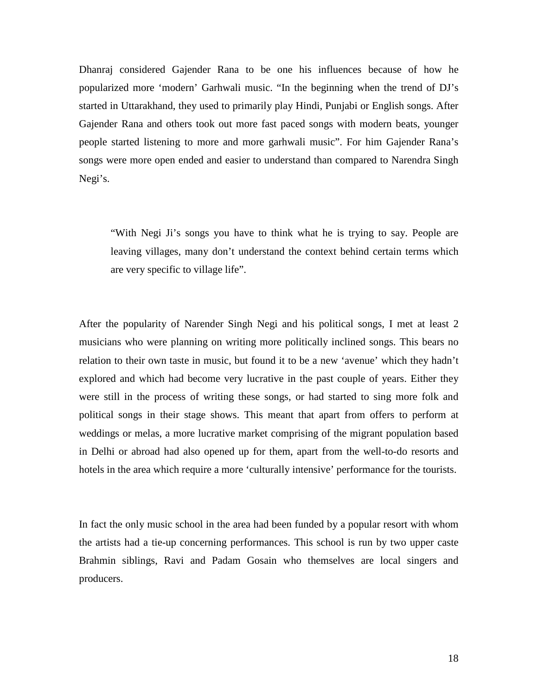Dhanraj considered Gajender Rana to be one his influences because of how he popularized more 'modern' Garhwali music. "In the beginning when the trend of DJ's started in Uttarakhand, they used to primarily play Hindi, Punjabi or English songs. After Gajender Rana and others took out more fast paced songs with modern beats, younger people started listening to more and more garhwali music". For him Gajender Rana's songs were more open ended and easier to understand than compared to Narendra Singh Negi's.

"With Negi Ji's songs you have to think what he is trying to say. People are leaving villages, many don't understand the context behind certain terms which are very specific to village life".

After the popularity of Narender Singh Negi and his political songs, I met at least 2 musicians who were planning on writing more politically inclined songs. This bears no relation to their own taste in music, but found it to be a new 'avenue' which they hadn't explored and which had become very lucrative in the past couple of years. Either they were still in the process of writing these songs, or had started to sing more folk and political songs in their stage shows. This meant that apart from offers to perform at weddings or melas, a more lucrative market comprising of the migrant population based in Delhi or abroad had also opened up for them, apart from the well-to-do resorts and hotels in the area which require a more 'culturally intensive' performance for the tourists.

In fact the only music school in the area had been funded by a popular resort with whom the artists had a tie-up concerning performances. This school is run by two upper caste Brahmin siblings, Ravi and Padam Gosain who themselves are local singers and producers.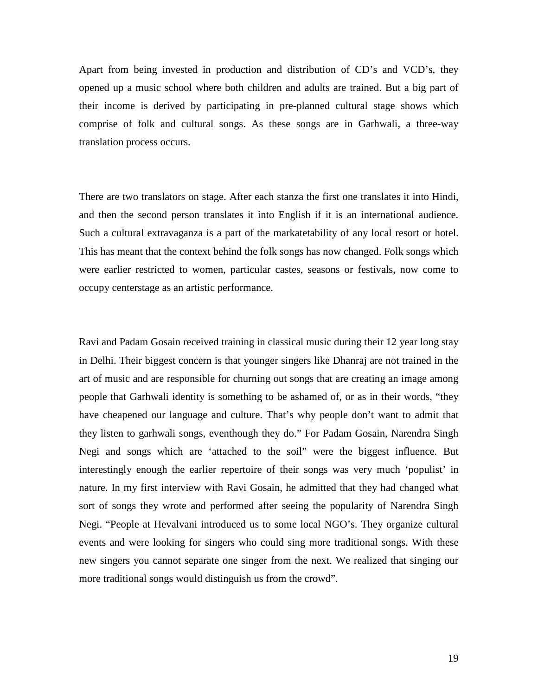Apart from being invested in production and distribution of CD's and VCD's, they opened up a music school where both children and adults are trained. But a big part of their income is derived by participating in pre-planned cultural stage shows which comprise of folk and cultural songs. As these songs are in Garhwali, a three-way translation process occurs.

There are two translators on stage. After each stanza the first one translates it into Hindi, and then the second person translates it into English if it is an international audience. Such a cultural extravaganza is a part of the markatetability of any local resort or hotel. This has meant that the context behind the folk songs has now changed. Folk songs which were earlier restricted to women, particular castes, seasons or festivals, now come to occupy centerstage as an artistic performance.

Ravi and Padam Gosain received training in classical music during their 12 year long stay in Delhi. Their biggest concern is that younger singers like Dhanraj are not trained in the art of music and are responsible for churning out songs that are creating an image among people that Garhwali identity is something to be ashamed of, or as in their words, "they have cheapened our language and culture. That's why people don't want to admit that they listen to garhwali songs, eventhough they do." For Padam Gosain, Narendra Singh Negi and songs which are 'attached to the soil" were the biggest influence. But interestingly enough the earlier repertoire of their songs was very much 'populist' in nature. In my first interview with Ravi Gosain, he admitted that they had changed what sort of songs they wrote and performed after seeing the popularity of Narendra Singh Negi. "People at Hevalvani introduced us to some local NGO's. They organize cultural events and were looking for singers who could sing more traditional songs. With these new singers you cannot separate one singer from the next. We realized that singing our more traditional songs would distinguish us from the crowd".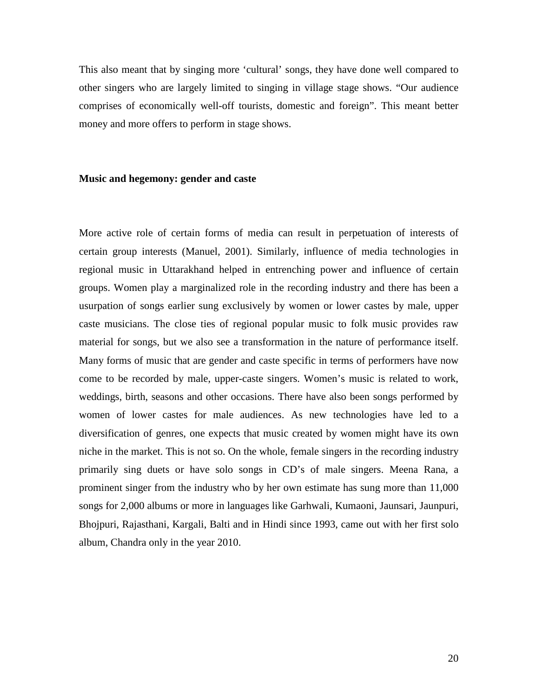This also meant that by singing more 'cultural' songs, they have done well compared to other singers who are largely limited to singing in village stage shows. "Our audience comprises of economically well-off tourists, domestic and foreign". This meant better money and more offers to perform in stage shows.

### **Music and hegemony: gender and caste**

More active role of certain forms of media can result in perpetuation of interests of certain group interests (Manuel, 2001). Similarly, influence of media technologies in regional music in Uttarakhand helped in entrenching power and influence of certain groups. Women play a marginalized role in the recording industry and there has been a usurpation of songs earlier sung exclusively by women or lower castes by male, upper caste musicians. The close ties of regional popular music to folk music provides raw material for songs, but we also see a transformation in the nature of performance itself. Many forms of music that are gender and caste specific in terms of performers have now come to be recorded by male, upper-caste singers. Women's music is related to work, weddings, birth, seasons and other occasions. There have also been songs performed by women of lower castes for male audiences. As new technologies have led to a diversification of genres, one expects that music created by women might have its own niche in the market. This is not so. On the whole, female singers in the recording industry primarily sing duets or have solo songs in CD's of male singers. Meena Rana, a prominent singer from the industry who by her own estimate has sung more than 11,000 songs for 2,000 albums or more in languages like Garhwali, Kumaoni, Jaunsari, Jaunpuri, Bhojpuri, Rajasthani, Kargali, Balti and in Hindi since 1993, came out with her first solo album, Chandra only in the year 2010.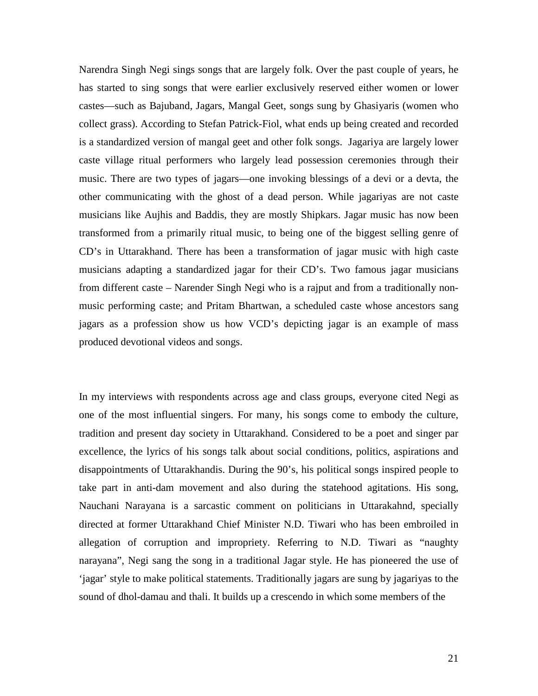Narendra Singh Negi sings songs that are largely folk. Over the past couple of years, he has started to sing songs that were earlier exclusively reserved either women or lower castes—such as Bajuband, Jagars, Mangal Geet, songs sung by Ghasiyaris (women who collect grass). According to Stefan Patrick-Fiol, what ends up being created and recorded is a standardized version of mangal geet and other folk songs. Jagariya are largely lower caste village ritual performers who largely lead possession ceremonies through their music. There are two types of jagars—one invoking blessings of a devi or a devta, the other communicating with the ghost of a dead person. While jagariyas are not caste musicians like Aujhis and Baddis, they are mostly Shipkars. Jagar music has now been transformed from a primarily ritual music, to being one of the biggest selling genre of CD's in Uttarakhand. There has been a transformation of jagar music with high caste musicians adapting a standardized jagar for their CD's. Two famous jagar musicians from different caste – Narender Singh Negi who is a rajput and from a traditionally nonmusic performing caste; and Pritam Bhartwan, a scheduled caste whose ancestors sang jagars as a profession show us how VCD's depicting jagar is an example of mass produced devotional videos and songs.

In my interviews with respondents across age and class groups, everyone cited Negi as one of the most influential singers. For many, his songs come to embody the culture, tradition and present day society in Uttarakhand. Considered to be a poet and singer par excellence, the lyrics of his songs talk about social conditions, politics, aspirations and disappointments of Uttarakhandis. During the 90's, his political songs inspired people to take part in anti-dam movement and also during the statehood agitations. His song, Nauchani Narayana is a sarcastic comment on politicians in Uttarakahnd, specially directed at former Uttarakhand Chief Minister N.D. Tiwari who has been embroiled in allegation of corruption and impropriety. Referring to N.D. Tiwari as "naughty narayana", Negi sang the song in a traditional Jagar style. He has pioneered the use of 'jagar' style to make political statements. Traditionally jagars are sung by jagariyas to the sound of dhol-damau and thali. It builds up a crescendo in which some members of the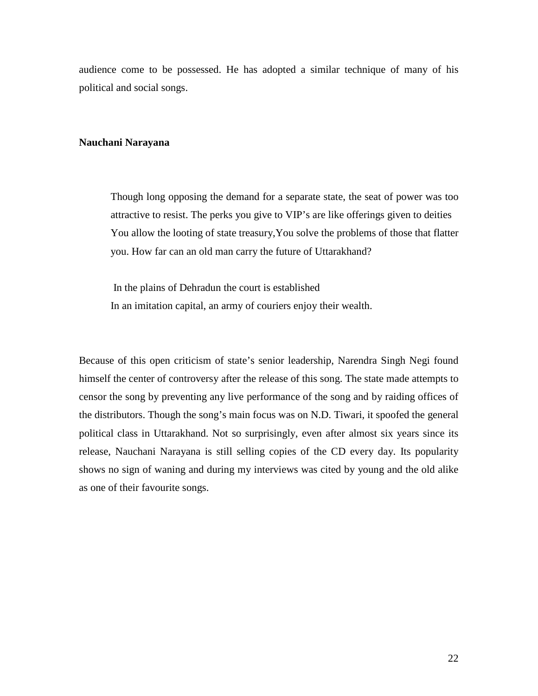audience come to be possessed. He has adopted a similar technique of many of his political and social songs.

## **Nauchani Narayana**

Though long opposing the demand for a separate state, the seat of power was too attractive to resist. The perks you give to VIP's are like offerings given to deities You allow the looting of state treasury,You solve the problems of those that flatter you. How far can an old man carry the future of Uttarakhand?

In the plains of Dehradun the court is established In an imitation capital, an army of couriers enjoy their wealth.

Because of this open criticism of state's senior leadership, Narendra Singh Negi found himself the center of controversy after the release of this song. The state made attempts to censor the song by preventing any live performance of the song and by raiding offices of the distributors. Though the song's main focus was on N.D. Tiwari, it spoofed the general political class in Uttarakhand. Not so surprisingly, even after almost six years since its release, Nauchani Narayana is still selling copies of the CD every day. Its popularity shows no sign of waning and during my interviews was cited by young and the old alike as one of their favourite songs.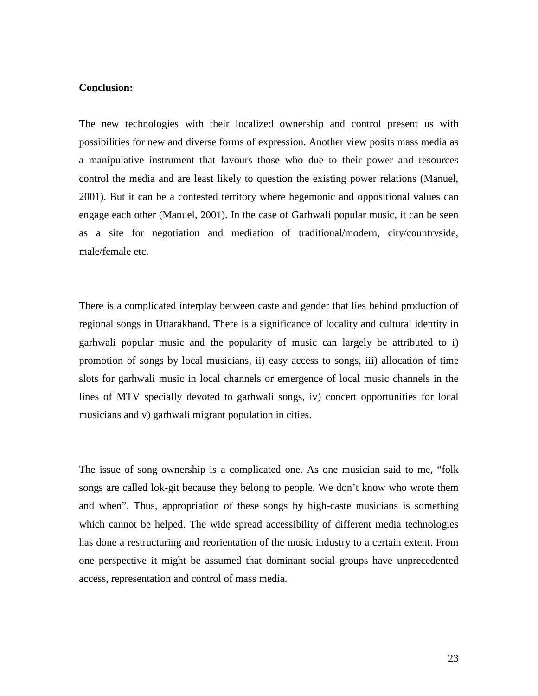## **Conclusion:**

The new technologies with their localized ownership and control present us with possibilities for new and diverse forms of expression. Another view posits mass media as a manipulative instrument that favours those who due to their power and resources control the media and are least likely to question the existing power relations (Manuel, 2001). But it can be a contested territory where hegemonic and oppositional values can engage each other (Manuel, 2001). In the case of Garhwali popular music, it can be seen as a site for negotiation and mediation of traditional/modern, city/countryside, male/female etc.

There is a complicated interplay between caste and gender that lies behind production of regional songs in Uttarakhand. There is a significance of locality and cultural identity in garhwali popular music and the popularity of music can largely be attributed to i) promotion of songs by local musicians, ii) easy access to songs, iii) allocation of time slots for garhwali music in local channels or emergence of local music channels in the lines of MTV specially devoted to garhwali songs, iv) concert opportunities for local musicians and v) garhwali migrant population in cities.

The issue of song ownership is a complicated one. As one musician said to me, "folk songs are called lok-git because they belong to people. We don't know who wrote them and when". Thus, appropriation of these songs by high-caste musicians is something which cannot be helped. The wide spread accessibility of different media technologies has done a restructuring and reorientation of the music industry to a certain extent. From one perspective it might be assumed that dominant social groups have unprecedented access, representation and control of mass media.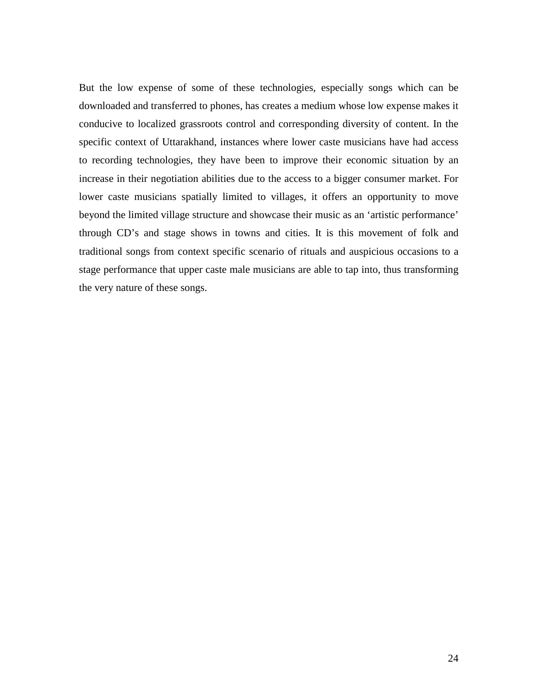But the low expense of some of these technologies, especially songs which can be downloaded and transferred to phones, has creates a medium whose low expense makes it conducive to localized grassroots control and corresponding diversity of content. In the specific context of Uttarakhand, instances where lower caste musicians have had access to recording technologies, they have been to improve their economic situation by an increase in their negotiation abilities due to the access to a bigger consumer market. For lower caste musicians spatially limited to villages, it offers an opportunity to move beyond the limited village structure and showcase their music as an 'artistic performance' through CD's and stage shows in towns and cities. It is this movement of folk and traditional songs from context specific scenario of rituals and auspicious occasions to a stage performance that upper caste male musicians are able to tap into, thus transforming the very nature of these songs.